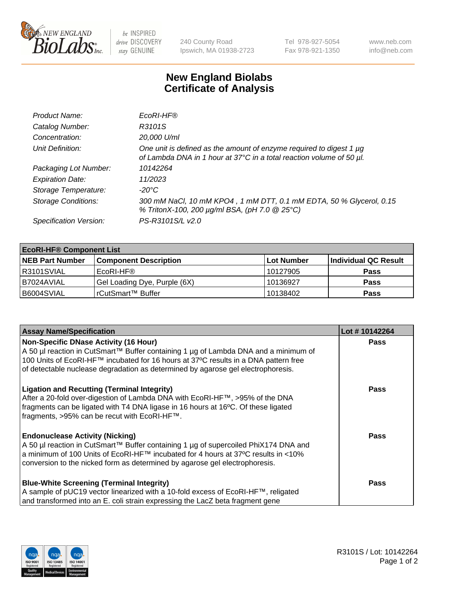

 $be$  INSPIRED drive DISCOVERY stay GENUINE

240 County Road Ipswich, MA 01938-2723 Tel 978-927-5054 Fax 978-921-1350 www.neb.com info@neb.com

## **New England Biolabs Certificate of Analysis**

| Product Name:              | EcoRI-HF®                                                                                                                                   |
|----------------------------|---------------------------------------------------------------------------------------------------------------------------------------------|
| Catalog Number:            | R3101S                                                                                                                                      |
| Concentration:             | 20,000 U/ml                                                                                                                                 |
| Unit Definition:           | One unit is defined as the amount of enzyme required to digest 1 µg<br>of Lambda DNA in 1 hour at 37°C in a total reaction volume of 50 µl. |
| Packaging Lot Number:      | 10142264                                                                                                                                    |
| <b>Expiration Date:</b>    | 11/2023                                                                                                                                     |
| Storage Temperature:       | $-20^{\circ}$ C                                                                                                                             |
| <b>Storage Conditions:</b> | 300 mM NaCl, 10 mM KPO4, 1 mM DTT, 0.1 mM EDTA, 50 % Glycerol, 0.15<br>% TritonX-100, 200 µg/ml BSA, (pH 7.0 @ 25°C)                        |
| Specification Version:     | PS-R3101S/L v2.0                                                                                                                            |

| <b>EcoRI-HF® Component List</b> |                              |             |                      |  |  |
|---------------------------------|------------------------------|-------------|----------------------|--|--|
| <b>NEB Part Number</b>          | <b>Component Description</b> | ∣Lot Number | Individual QC Result |  |  |
| R3101SVIAL                      | EcoRI-HF®                    | 10127905    | <b>Pass</b>          |  |  |
| I B7024AVIAL                    | Gel Loading Dye, Purple (6X) | 10136927    | <b>Pass</b>          |  |  |
| B6004SVIAL                      | l rCutSmart™ Buffer          | 10138402    | <b>Pass</b>          |  |  |

| <b>Assay Name/Specification</b>                                                     | Lot #10142264 |
|-------------------------------------------------------------------------------------|---------------|
| <b>Non-Specific DNase Activity (16 Hour)</b>                                        | <b>Pass</b>   |
| A 50 µl reaction in CutSmart™ Buffer containing 1 µg of Lambda DNA and a minimum of |               |
| 100 Units of EcoRI-HF™ incubated for 16 hours at 37°C results in a DNA pattern free |               |
| of detectable nuclease degradation as determined by agarose gel electrophoresis.    |               |
| <b>Ligation and Recutting (Terminal Integrity)</b>                                  | Pass          |
| After a 20-fold over-digestion of Lambda DNA with EcoRI-HF™, >95% of the DNA        |               |
| fragments can be ligated with T4 DNA ligase in 16 hours at 16°C. Of these ligated   |               |
| fragments, >95% can be recut with EcoRI-HF™.                                        |               |
| <b>Endonuclease Activity (Nicking)</b>                                              | Pass          |
| A 50 µl reaction in CutSmart™ Buffer containing 1 µg of supercoiled PhiX174 DNA and |               |
| a minimum of 100 Units of EcoRI-HF™ incubated for 4 hours at 37°C results in <10%   |               |
| conversion to the nicked form as determined by agarose gel electrophoresis.         |               |
| <b>Blue-White Screening (Terminal Integrity)</b>                                    | <b>Pass</b>   |
| A sample of pUC19 vector linearized with a 10-fold excess of EcoRI-HF™, religated   |               |
| and transformed into an E. coli strain expressing the LacZ beta fragment gene       |               |